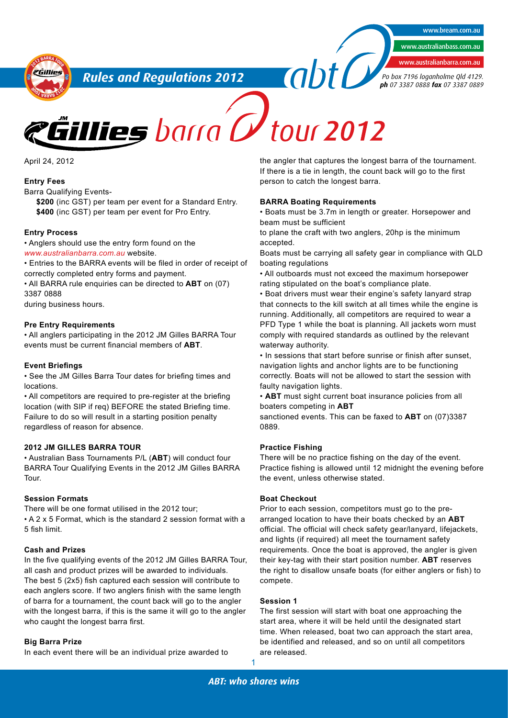www.bream.com.au

www.australianbass.com.au

www.australianbarra.com.au

*Po box 7196 loganholme Qld 4129. ph 07 3387 0888 fax 07 3387 0889*

**<sup>2</sup>01<sup>2</sup> <sup>B</sup>ARR<sup>A</sup> <sup>T</sup>OU<sup>R</sup>** eGillies **UR<sup>2</sup>012 <sup>O</sup><sup>T</sup> <sup>A</sup>RRA<sup>B</sup>** *Rules and Regulations 2012*

April 24, 2012

#### **Entry Fees**

Barra Qualifying Events-

**\$200** (inc GST) per team per event for a Standard Entry. **\$400** (inc GST) per team per event for Pro Entry.

#### **Entry Process**

• Anglers should use the entry form found on the *www.australianbarra.com.au* website.

• Entries to the BARRA events will be filed in order of receipt of correctly completed entry forms and payment.

• All BARRA rule enquiries can be directed to **ABT** on (07) 3387 0888

during business hours.

#### **Pre Entry Requirements**

• All anglers participating in the 2012 JM Gilles BARRA Tour events must be current financial members of **ABT**.

#### **Event Briefings**

• See the JM Gilles Barra Tour dates for briefing times and locations.

• All competitors are required to pre-register at the briefing location (with SIP if req) BEFORE the stated Briefing time. Failure to do so will result in a starting position penalty regardless of reason for absence.

#### **2012 JM GILLES BARRA TOUR**

• Australian Bass Tournaments P/L (**ABT**) will conduct four BARRA Tour Qualifying Events in the 2012 JM Gilles BARRA Tour.

#### **Session Formats**

There will be one format utilised in the 2012 tour;

• A 2 x 5 Format, which is the standard 2 session format with a 5 fish limit.

#### **Cash and Prizes**

In the five qualifying events of the 2012 JM Gilles BARRA Tour, all cash and product prizes will be awarded to individuals. The best 5 (2x5) fish captured each session will contribute to each anglers score. If two anglers finish with the same length of barra for a tournament, the count back will go to the angler with the longest barra, if this is the same it will go to the angler who caught the longest barra first.

#### **Big Barra Prize**

In each event there will be an individual prize awarded to

the angler that captures the longest barra of the tournament. If there is a tie in length, the count back will go to the first person to catch the longest barra.

#### **BARRA Boating Requirements**

• Boats must be 3.7m in length or greater. Horsepower and beam must be sufficient

to plane the craft with two anglers, 20hp is the minimum accepted.

Boats must be carrying all safety gear in compliance with QLD boating regulations

• All outboards must not exceed the maximum horsepower rating stipulated on the boat's compliance plate.

• Boat drivers must wear their engine's safety lanyard strap that connects to the kill switch at all times while the engine is running. Additionally, all competitors are required to wear a PFD Type 1 while the boat is planning. All jackets worn must comply with required standards as outlined by the relevant waterway authority.

• In sessions that start before sunrise or finish after sunset, navigation lights and anchor lights are to be functioning correctly. Boats will not be allowed to start the session with faulty navigation lights.

• **ABT** must sight current boat insurance policies from all boaters competing in **ABT**

sanctioned events. This can be faxed to **ABT** on (07)3387 0889.

#### **Practice Fishing**

There will be no practice fishing on the day of the event. Practice fishing is allowed until 12 midnight the evening before the event, unless otherwise stated.

### **Boat Checkout**

Prior to each session, competitors must go to the prearranged location to have their boats checked by an **ABT** official. The official will check safety gear/lanyard, lifejackets, and lights (if required) all meet the tournament safety requirements. Once the boat is approved, the angler is given their key-tag with their start position number. **ABT** reserves the right to disallow unsafe boats (for either anglers or fish) to compete.

#### **Session 1**

The first session will start with boat one approaching the start area, where it will be held until the designated start time. When released, boat two can approach the start area, be identified and released, and so on until all competitors are released.

1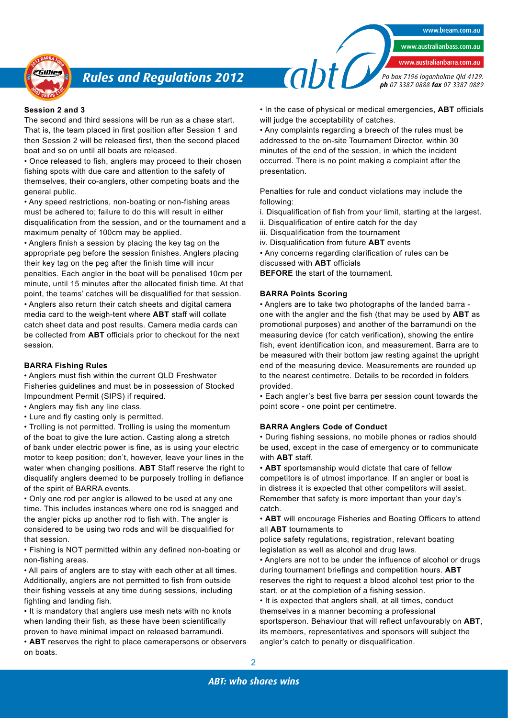

# *Rules and Regulations 2012*

### **Session 2 and 3**

The second and third sessions will be run as a chase start. That is, the team placed in first position after Session 1 and then Session 2 will be released first, then the second placed boat and so on until all boats are released.

• Once released to fish, anglers may proceed to their chosen fishing spots with due care and attention to the safety of themselves, their co-anglers, other competing boats and the general public.

• Any speed restrictions, non-boating or non-fishing areas must be adhered to; failure to do this will result in either disqualification from the session, and or the tournament and a maximum penalty of 100cm may be applied.

• Anglers finish a session by placing the key tag on the appropriate peg before the session finishes. Anglers placing their key tag on the peg after the finish time will incur penalties. Each angler in the boat will be penalised 10cm per minute, until 15 minutes after the allocated finish time. At that point, the teams' catches will be disqualified for that session. • Anglers also return their catch sheets and digital camera media card to the weigh-tent where **ABT** staff will collate catch sheet data and post results. Camera media cards can be collected from **ABT** officials prior to checkout for the next session.

#### **BARRA Fishing Rules**

• Anglers must fish within the current QLD Freshwater Fisheries guidelines and must be in possession of Stocked Impoundment Permit (SIPS) if required.

• Anglers may fish any line class.

• Lure and fly casting only is permitted.

• Trolling is not permitted. Trolling is using the momentum of the boat to give the lure action. Casting along a stretch of bank under electric power is fine, as is using your electric motor to keep position; don't, however, leave your lines in the water when changing positions. **ABT** Staff reserve the right to disqualify anglers deemed to be purposely trolling in defiance of the spirit of BARRA events.

• Only one rod per angler is allowed to be used at any one time. This includes instances where one rod is snagged and the angler picks up another rod to fish with. The angler is considered to be using two rods and will be disqualified for that session.

• Fishing is NOT permitted within any defined non-boating or non-fishing areas.

• All pairs of anglers are to stay with each other at all times. Additionally, anglers are not permitted to fish from outside their fishing vessels at any time during sessions, including fighting and landing fish.

• It is mandatory that anglers use mesh nets with no knots when landing their fish, as these have been scientifically proven to have minimal impact on released barramundi.

• **ABT** reserves the right to place camerapersons or observers on boats.

• In the case of physical or medical emergencies, **ABT** officials will judge the acceptability of catches.

www.bream.com.au

www.australianbass.com.au www.australianbarra.com.au

*Po box 7196 loganholme Qld 4129. ph 07 3387 0888 fax 07 3387 0889*

• Any complaints regarding a breech of the rules must be addressed to the on-site Tournament Director, within 30 minutes of the end of the session, in which the incident occurred. There is no point making a complaint after the presentation.

Penalties for rule and conduct violations may include the following:

i. Disqualification of fish from your limit, starting at the largest.

ii. Disqualification of entire catch for the day

iii. Disqualification from the tournament

 $\frac{a}{b}$ 

iv. Disqualification from future **ABT** events

• Any concerns regarding clarification of rules can be discussed with **ABT** officials

**BEFORE** the start of the tournament.

#### **BARRA Points Scoring**

• Anglers are to take two photographs of the landed barra one with the angler and the fish (that may be used by **ABT** as promotional purposes) and another of the barramundi on the measuring device (for catch verification), showing the entire fish, event identification icon, and measurement. Barra are to be measured with their bottom jaw resting against the upright end of the measuring device. Measurements are rounded up to the nearest centimetre. Details to be recorded in folders provided.

• Each angler's best five barra per session count towards the point score - one point per centimetre.

#### **BARRA Anglers Code of Conduct**

• During fishing sessions, no mobile phones or radios should be used, except in the case of emergency or to communicate with **ABT** staff.

• **ABT** sportsmanship would dictate that care of fellow competitors is of utmost importance. If an angler or boat is in distress it is expected that other competitors will assist. Remember that safety is more important than your day's catch.

• **ABT** will encourage Fisheries and Boating Officers to attend all **ABT** tournaments to

police safety regulations, registration, relevant boating legislation as well as alcohol and drug laws.

• Anglers are not to be under the influence of alcohol or drugs during tournament briefings and competition hours. **ABT** reserves the right to request a blood alcohol test prior to the start, or at the completion of a fishing session.

• It is expected that anglers shall, at all times, conduct themselves in a manner becoming a professional sportsperson. Behaviour that will reflect unfavourably on **ABT**, its members, representatives and sponsors will subject the angler's catch to penalty or disqualification.

2